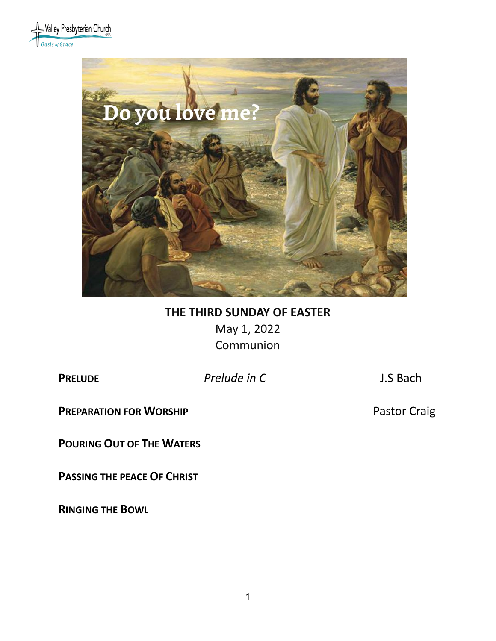



# **THE THIRD SUNDAY OF EASTER** May 1, 2022 Communion

**PRELUDE** *Prelude in C* J.S Bach

**PREPARATION FOR WORSHIP PREPARATION FOR WORSHIP** 

**POURING OUT OF THE WATERS**

**PASSING THE PEACE OF CHRIST**

**RINGING THE BOWL**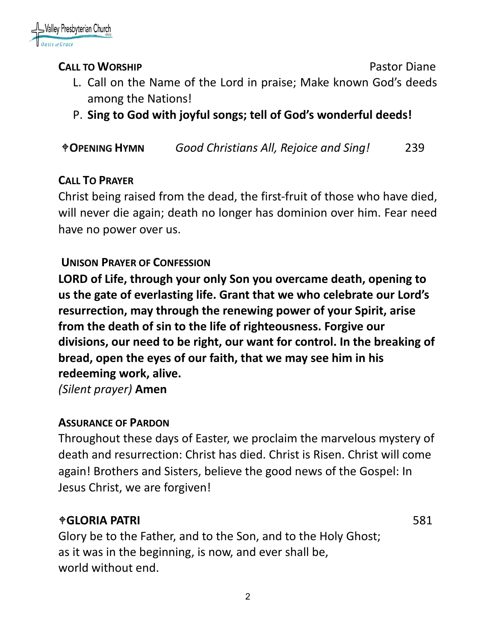

# **CALL TO WORSHIP** Pastor Diane

- L. Call on the Name of the Lord in praise; Make known God's deeds among the Nations!
- P. **Sing to God with joyful songs; tell of God's wonderful deeds!**

| <b><i><b>OPENING HYMN</b></i></b> | Good Christians All, Rejoice and Sing! | 239 |
|-----------------------------------|----------------------------------------|-----|
|-----------------------------------|----------------------------------------|-----|

### **CALL TO PRAYER**

Christ being raised from the dead, the first-fruit of those who have died, will never die again; death no longer has dominion over him. Fear need have no power over us.

### **UNISON PRAYER OF CONFESSION**

**LORD of Life, through your only Son you overcame death, opening to us the gate of everlasting life. Grant that we who celebrate our Lord's resurrection, may through the renewing power of your Spirit, arise from the death of sin to the life of righteousness. Forgive our divisions, our need to be right, our want for control. In the breaking of bread, open the eyes of our faith, that we may see him in his redeeming work, alive.** 

*(Silent prayer)* **Amen**

### **ASSURANCE OF PARDON**

Throughout these days of Easter, we proclaim the marvelous mystery of death and resurrection: Christ has died. Christ is Risen. Christ will come again! Brothers and Sisters, believe the good news of the Gospel: In Jesus Christ, we are forgiven!

### **GLORIA PATRI** 581

Glory be to the Father, and to the Son, and to the Holy Ghost; as it was in the beginning, is now, and ever shall be, world without end.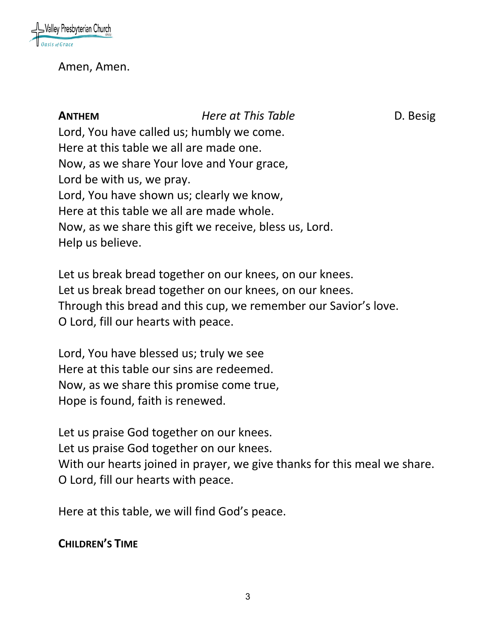

Amen, Amen.

**ANTHEM** *Here at This Table* D. Besig Lord, You have called us; humbly we come. Here at this table we all are made one. Now, as we share Your love and Your grace, Lord be with us, we pray. Lord, You have shown us; clearly we know, Here at this table we all are made whole. Now, as we share this gift we receive, bless us, Lord. Help us believe.

Let us break bread together on our knees, on our knees. Let us break bread together on our knees, on our knees. Through this bread and this cup, we remember our Savior's love. O Lord, fill our hearts with peace.

Lord, You have blessed us; truly we see Here at this table our sins are redeemed. Now, as we share this promise come true, Hope is found, faith is renewed.

Let us praise God together on our knees. Let us praise God together on our knees. With our hearts joined in prayer, we give thanks for this meal we share. O Lord, fill our hearts with peace.

Here at this table, we will find God's peace.

**CHILDREN'S TIME**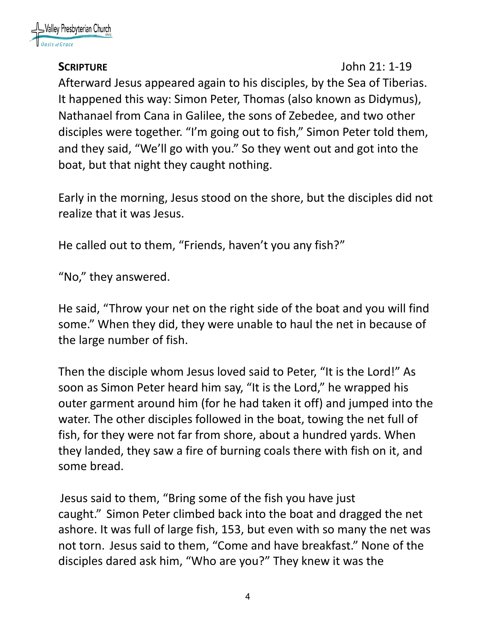

**SCRIPTURE** John 21: 1-19

Afterward Jesus appeared again to his disciples, by the Sea of Tiberias. It happened this way: Simon Peter, Thomas (also known as Didymus), Nathanael from Cana in Galilee, the sons of Zebedee, and two other disciples were together. "I'm going out to fish," Simon Peter told them, and they said, "We'll go with you." So they went out and got into the boat, but that night they caught nothing.

Early in the morning, Jesus stood on the shore, but the disciples did not realize that it was Jesus.

He called out to them, "Friends, haven't you any fish?"

"No," they answered.

He said, "Throw your net on the right side of the boat and you will find some." When they did, they were unable to haul the net in because of the large number of fish.

Then the disciple whom Jesus loved said to Peter, "It is the Lord!" As soon as Simon Peter heard him say, "It is the Lord," he wrapped his outer garment around him (for he had taken it off) and jumped into the water. The other disciples followed in the boat, towing the net full of fish, for they were not far from shore, about a hundred yards. When they landed, they saw a fire of burning coals there with fish on it, and some bread.

Jesus said to them, "Bring some of the fish you have just caught." Simon Peter climbed back into the boat and dragged the net ashore. It was full of large fish, 153, but even with so many the net was not torn. Jesus said to them, "Come and have breakfast." None of the disciples dared ask him, "Who are you?" They knew it was the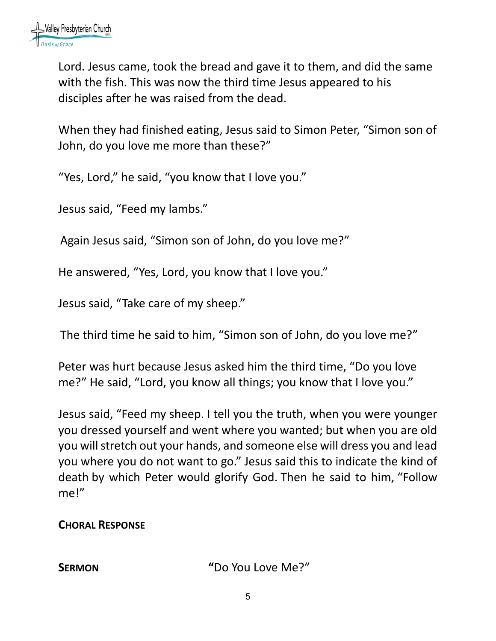

Lord. Jesus came, took the bread and gave it to them, and did the same with the fish. This was now the third time Jesus appeared to his disciples after he was raised from the dead.

When they had finished eating, Jesus said to Simon Peter, "Simon son of John, do you love me more than these?"

"Yes, Lord," he said, "you know that I love you."

Jesus said, "Feed my lambs."

Again Jesus said, "Simon son of John, do you love me?"

He answered, "Yes, Lord, you know that I love you."

Jesus said, "Take care of my sheep."

The third time he said to him, "Simon son of John, do you love me?"

Peter was hurt because Jesus asked him the third time, "Do you love me?" He said, "Lord, you know all things; you know that I love you."

Jesus said, "Feed my sheep. I tell you the truth, when you were younger you dressed yourself and went where you wanted; but when you are old you will stretch out your hands, and someone else will dress you and lead you where you do not want to go." Jesus said this to indicate the kind of death by which Peter would glorify God. Then he said to him, "Follow me!"

### **CHORAL RESPONSE**

**SERMON** "Do You Love Me?"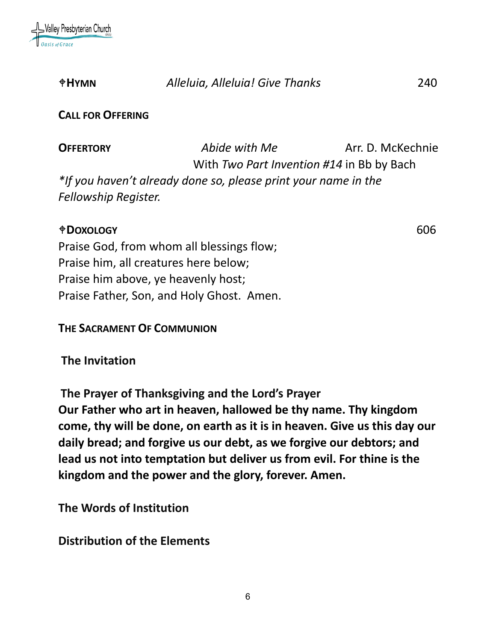

# **CALL FOR OFFERING**

**OFFERTORY** *Abide with Me* **Arr. D. McKechnie**  With *Two Part Invention #14* in Bb by Bach *\*If you haven't already done so, please print your name in the Fellowship Register.*

## **DOXOLOGY** 606

Praise God, from whom all blessings flow; Praise him, all creatures here below; Praise him above, ye heavenly host; Praise Father, Son, and Holy Ghost. Amen.

**THE SACRAMENT OF COMMUNION**

# **The Invitation**

**The Prayer of Thanksgiving and the Lord's Prayer**

**Our Father who art in heaven, hallowed be thy name. Thy kingdom come, thy will be done, on earth as it is in heaven. Give us this day our daily bread; and forgive us our debt, as we forgive our debtors; and lead us not into temptation but deliver us from evil. For thine is the kingdom and the power and the glory, forever. Amen.**

**The Words of Institution**

**Distribution of the Elements**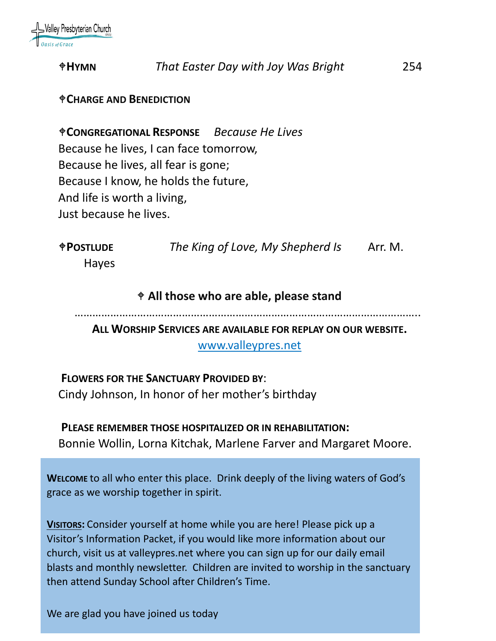

# **HYMN** *That Easter Day with Joy Was Bright* 254

**CHARGE AND BENEDICTION**

**CONGREGATIONAL RESPONSE** *Because He Lives* Because he lives, I can face tomorrow, Because he lives, all fear is gone; Because I know, he holds the future, And life is worth a living, Just because he lives.

**POSTLUDE** *The King of Love, My Shepherd Is* Arr. M.

Hayes

#### **All those who are able, please stand**

……………………………………………………………………………………………………..

**ALL WORSHIP SERVICES ARE AVAILABLE FOR REPLAY ON OUR WEBSITE.** 

[www.valleypres.net](http://www.valleypres.net/)

#### **FLOWERS FOR THE SANCTUARY PROVIDED BY**:

Cindy Johnson, In honor of her mother's birthday

#### **PLEASE REMEMBER THOSE HOSPITALIZED OR IN REHABILITATION:**

Bonnie Wollin, Lorna Kitchak, Marlene Farver and Margaret Moore.

**WELCOME** to all who enter this place. Drink deeply of the living waters of God's grace as we worship together in spirit.

**VISITORS:** Consider yourself at home while you are here! Please pick up a Visitor's Information Packet, if you would like more information about our church, visit us at valleypres.net where you can sign up for our daily email blasts and monthly newsletter. Children are invited to worship in the sanctuary then attend Sunday School after Children's Time.

We are glad you have joined us today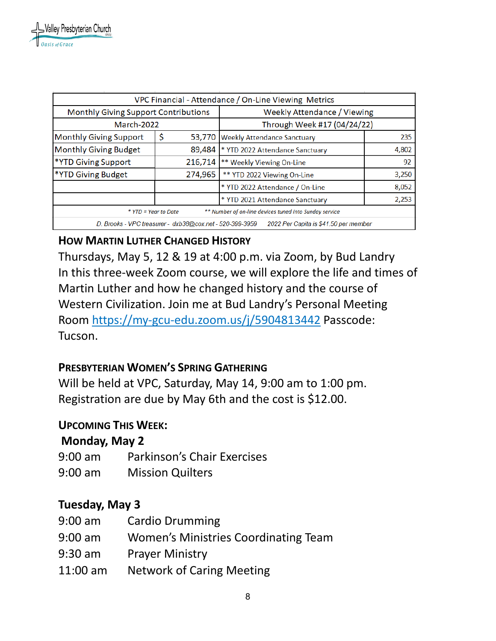|                                                                                                   |              | VPC Financial - Attendance / On-Line Viewing Metrics |       |  |
|---------------------------------------------------------------------------------------------------|--------------|------------------------------------------------------|-------|--|
| Monthly Giving Support Contributions                                                              |              | <b>Weekly Attendance / Viewing</b>                   |       |  |
| March-2022                                                                                        |              | Through Week #17 (04/24/22)                          |       |  |
| <b>Monthly Giving Support</b>                                                                     | \$<br>53.770 | <b>Weekly Attendance Sanctuary</b>                   | 235   |  |
| <b>Monthly Giving Budget</b>                                                                      | 89,484       | * YTD 2022 Attendance Sanctuary                      | 4,802 |  |
| *YTD Giving Support                                                                               | 216,714      | ** Weekly Viewing On-Line                            | 92    |  |
| *YTD Giving Budget                                                                                | 274,965      | ** YTD 2022 Viewing On-Line                          | 3,250 |  |
|                                                                                                   |              | * YTD 2022 Attendance / On-Line                      | 8,052 |  |
|                                                                                                   |              | * YTD 2021 Attendance Sanctuary                      | 2,253 |  |
| ** Number of on-line devices tuned into Sunday service<br>* YTD = Year to Date                    |              |                                                      |       |  |
| D. Brooks - VPC treasurer - dxb38@cox.net - 520-399-3959<br>2022 Per Capita is \$41.50 per member |              |                                                      |       |  |

# **HOW MARTIN LUTHER CHANGED HISTORY**

Thursdays, May 5, 12 & 19 at 4:00 p.m. via Zoom, by Bud Landry In this three-week Zoom course, we will explore the life and times of Martin Luther and how he changed history and the course of Western Civilization. Join me at Bud Landry's Personal Meeting Room <https://my-gcu-edu.zoom.us/j/5904813442> Passcode: Tucson.

### **PRESBYTERIAN WOMEN'S SPRING GATHERING**

Will be held at VPC, Saturday, May 14, 9:00 am to 1:00 pm. Registration are due by May 6th and the cost is \$12.00.

### **UPCOMING THIS WEEK:**

#### **Monday, May 2**

- 9:00 am Parkinson's Chair Exercises
- 9:00 am Mission Quilters

# **Tuesday, May 3**

- 9:00 am Cardio Drumming 9:00 am Women's Ministries Coordinating Team 9:30 am Prayer Ministry
- 11:00 am Network of Caring Meeting